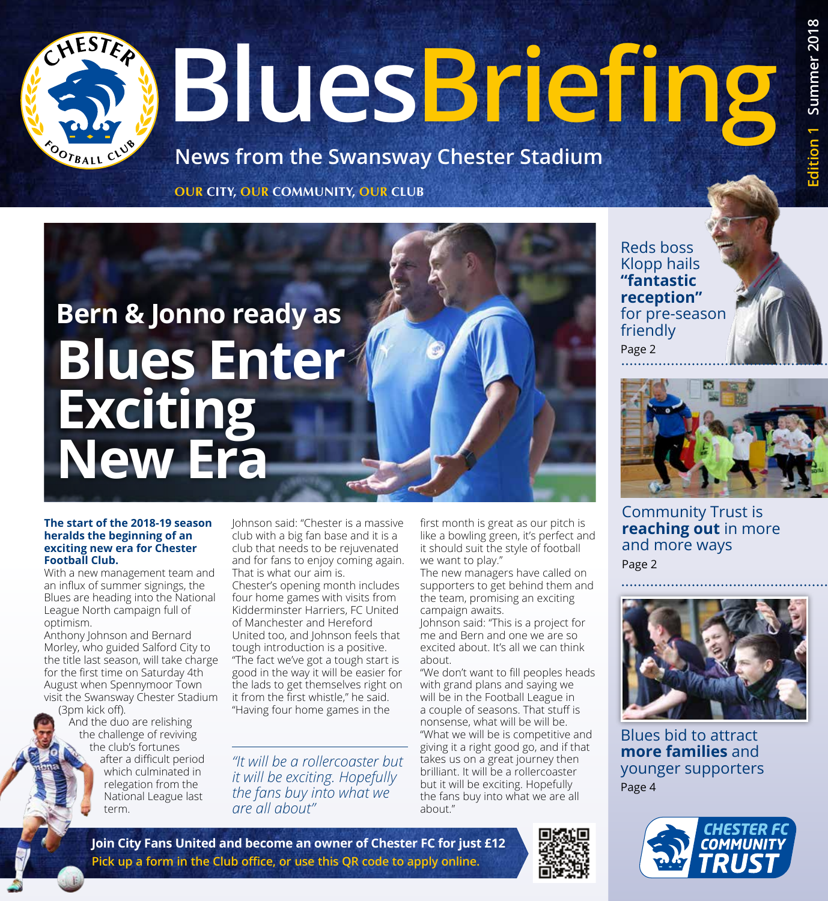# **BluesBriefing**

**News from the Swansway Chester Stadium**

**OUR CITY, OUR COMMUNITY, OUR CLUB**

## **Bern & Jonno ready as Blues Enter Exciting New Era**

#### **The start of the 2018-19 season heralds the beginning of an exciting new era for Chester Football Club.**

With a new management team and an influx of summer signings, the Blues are heading into the National League North campaign full of optimism.

Anthony Johnson and Bernard Morley, who guided Salford City to the title last season, will take charge for the first time on Saturday 4th August when Spennymoor Town visit the Swansway Chester Stadium

(3pm kick off). And the duo are relishing the challenge of reviving the club's fortunes after a difficult period which culminated in relegation from the National League last term.

Johnson said: "Chester is a massive club with a big fan base and it is a club that needs to be rejuvenated and for fans to enjoy coming again. That is what our aim is.

Chester's opening month includes four home games with visits from Kidderminster Harriers, FC United of Manchester and Hereford United too, and Johnson feels that tough introduction is a positive. "The fact we've got a tough start is good in the way it will be easier for the lads to get themselves right on it from the first whistle," he said. "Having four home games in the

*"It will be a rollercoaster but it will be exciting. Hopefully the fans buy into what we are all about"*

first month is great as our pitch is like a bowling green, it's perfect and it should suit the style of football we want to play."

The new managers have called on supporters to get behind them and the team, promising an exciting campaign awaits.

Johnson said: "This is a project for me and Bern and one we are so excited about. It's all we can think about.

"We don't want to fill peoples heads with grand plans and saying we will be in the Football League in a couple of seasons. That stuff is nonsense, what will be will be. "What we will be is competitive and giving it a right good go, and if that takes us on a great journey then brilliant. It will be a rollercoaster but it will be exciting. Hopefully the fans buy into what we are all about."

Reds boss Klopp hails **"fantastic reception"**  for pre-season friendly Page 2



Community Trust is **reaching out** in more and more ways Page 2



Blues bid to attract **more families** and younger supporters Page 4



**Join City Fans United and become an owner of Chester FC for just £12 Pick up a form in the Club office, or use this QR code to apply online.**

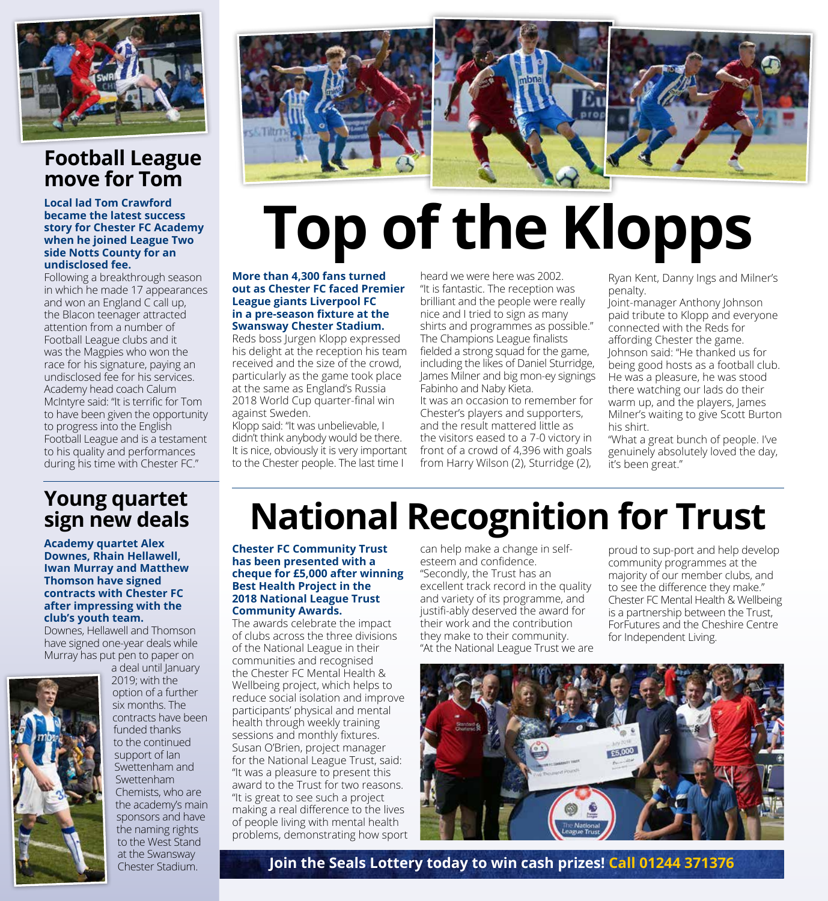

#### **Football League move for Tom**

**Local lad Tom Crawford became the latest success story for Chester FC Academy when he joined League Two side Notts County for an undisclosed fee.**

Following a breakthrough season in which he made 17 appearances and won an England C call up, the Blacon teenager attracted attention from a number of Football League clubs and it was the Magpies who won the race for his signature, paying an undisclosed fee for his services. Academy head coach Calum McIntyre said: "It is terrific for Tom to have been given the opportunity to progress into the English Football League and is a testament to his quality and performances during his time with Chester FC."



## **Top of the Klopps**

#### **More than 4,300 fans turned out as Chester FC faced Premier League giants Liverpool FC in a pre-season fixture at the Swansway Chester Stadium.**

Reds boss Jurgen Klopp expressed his delight at the reception his team received and the size of the crowd, particularly as the game took place at the same as England's Russia 2018 World Cup quarter-final win against Sweden.

Klopp said: "It was unbelievable, I didn't think anybody would be there. It is nice, obviously it is very important to the Chester people. The last time I

heard we were here was 2002. "It is fantastic. The reception was brilliant and the people were really nice and I tried to sign as many shirts and programmes as possible." The Champions League finalists fielded a strong squad for the game, including the likes of Daniel Sturridge, James Milner and big mon-ey signings Fabinho and Naby Kieta. It was an occasion to remember for

Chester's players and supporters, and the result mattered little as the visitors eased to a 7-0 victory in front of a crowd of 4,396 with goals from Harry Wilson (2), Sturridge (2),

Ryan Kent, Danny Ings and Milner's penalty.

Joint-manager Anthony Johnson paid tribute to Klopp and everyone connected with the Reds for affording Chester the game. Johnson said: "He thanked us for being good hosts as a football club. He was a pleasure, he was stood there watching our lads do their warm up, and the players, James Milner's waiting to give Scott Burton his shirt.

"What a great bunch of people. I've genuinely absolutely loved the day, it's been great."

#### **Young quartet sign new deals**

**Academy quartet Alex Downes, Rhain Hellawell, Iwan Murray and Matthew Thomson have signed contracts with Chester FC after impressing with the club's youth team.**

Downes, Hellawell and Thomson have signed one-year deals while Murray has put pen to paper on



a deal until January 2019; with the option of a further six months. The contracts have been funded thanks to the continued support of Ian Swettenham and Swettenham Chemists, who are the academy's main sponsors and have the naming rights to the West Stand at the Swansway

## **National Recognition for Trust**

**Chester FC Community Trust has been presented with a cheque for £5,000 after winning Best Health Project in the 2018 National League Trust Community Awards.**

The awards celebrate the impact of clubs across the three divisions of the National League in their communities and recognised the Chester FC Mental Health & Wellbeing project, which helps to reduce social isolation and improve participants' physical and mental health through weekly training sessions and monthly fixtures. Susan O'Brien, project manager for the National League Trust, said: "It was a pleasure to present this award to the Trust for two reasons. "It is great to see such a project making a real difference to the lives of people living with mental health problems, demonstrating how sport can help make a change in selfesteem and confidence. "Secondly, the Trust has an excellent track record in the quality and variety of its programme, and justifi-ably deserved the award for their work and the contribution they make to their community. "At the National League Trust we are

proud to sup-port and help develop community programmes at the majority of our member clubs, and to see the difference they make." Chester FC Mental Health & Wellbeing is a partnership between the Trust, ForFutures and the Cheshire Centre for Independent Living.



Chester Stadium. **Join the Seals Lottery today to win cash prizes! Call 01244 371376**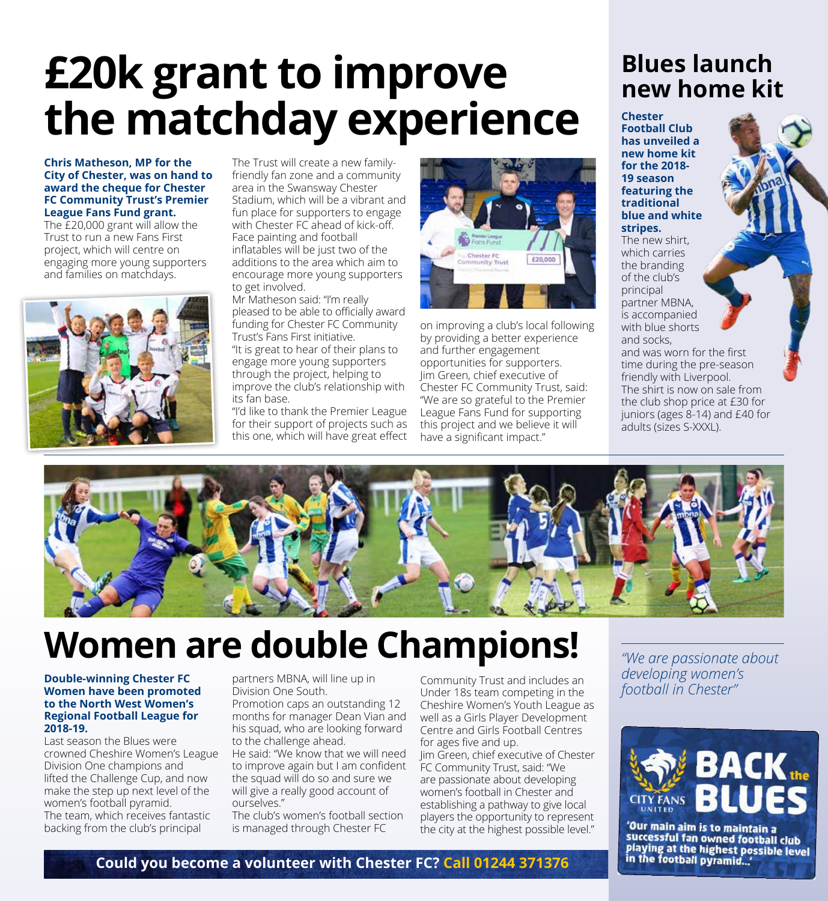## **£20k grant to improve the matchday experience**

#### **Chris Matheson, MP for the City of Chester, was on hand to award the cheque for Chester FC Community Trust's Premier League Fans Fund grant.**

The £20,000 grant will allow the Trust to run a new Fans First project, which will centre on engaging more young supporters and families on matchdays.



The Trust will create a new familyfriendly fan zone and a community area in the Swansway Chester Stadium, which will be a vibrant and fun place for supporters to engage with Chester FC ahead of kick-off. Face painting and football inflatables will be just two of the additions to the area which aim to encourage more young supporters to get involved.

Mr Matheson said: "I'm really pleased to be able to officially award funding for Chester FC Community Trust's Fans First initiative.

"It is great to hear of their plans to engage more young supporters through the project, helping to improve the club's relationship with its fan base.

"I'd like to thank the Premier League for their support of projects such as this one, which will have great effect



on improving a club's local following by providing a better experience and further engagement opportunities for supporters. Jim Green, chief executive of Chester FC Community Trust, said: "We are so grateful to the Premier League Fans Fund for supporting this project and we believe it will have a significant impact."

## **Blues launch new home kit**

**Chester Football Club has unveiled a new home kit for the 2018- 19 season featuring the traditional blue and white stripes.**

The new shirt, which carries the branding of the club's principal partner MBNA, is accompanied with blue shorts and socks,

and was worn for the first time during the pre-season friendly with Liverpool. The shirt is now on sale from the club shop price at £30 for juniors (ages 8-14) and £40 for adults (sizes S-XXXL).



## **Women are double Champions!**

#### **Double-winning Chester FC Women have been promoted to the North West Women's Regional Football League for 2018-19.**

Last season the Blues were crowned Cheshire Women's League Division One champions and lifted the Challenge Cup, and now make the step up next level of the women's football pyramid. The team, which receives fantastic backing from the club's principal

partners MBNA, will line up in Division One South.

Promotion caps an outstanding 12 months for manager Dean Vian and his squad, who are looking forward to the challenge ahead.

He said: "We know that we will need to improve again but I am confident the squad will do so and sure we will give a really good account of ourselves."

The club's women's football section is managed through Chester FC

Community Trust and includes an Under 18s team competing in the Cheshire Women's Youth League as well as a Girls Player Development Centre and Girls Football Centres for ages five and up.

Jim Green, chief executive of Chester FC Community Trust, said: "We are passionate about developing women's football in Chester and establishing a pathway to give local players the opportunity to represent the city at the highest possible level."

*"We are passionate about developing women's football in Chester"*



'Our main aim is to maintain a successful fan owned football club playing at the highest possible level<br>in the football pyramid...'

#### **Could you become a volunteer with Chester FC? Call 01244 371376**